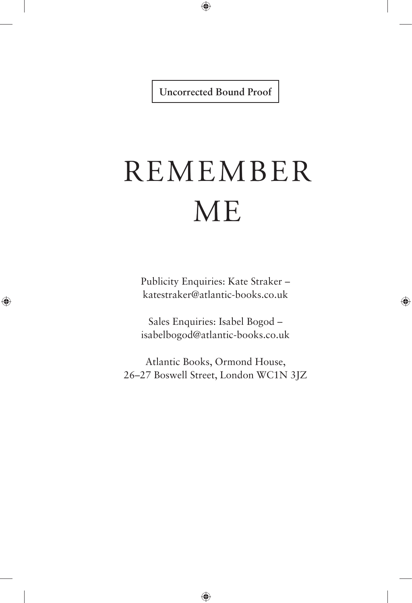**Uncorrected Bound Proof**

 $\bigoplus$ 

# **REMEMBER ME**

Publicity Enquiries: Kate Straker – katestraker@atlantic-books.co.uk

⊕

 $\bigoplus$ 

Sales Enquiries: Isabel Bogod – isabelbogod@atlantic-books.co.uk

Atlantic Books, Ormond House, 26–27 Boswell Street, London WC1N 3JZ

◈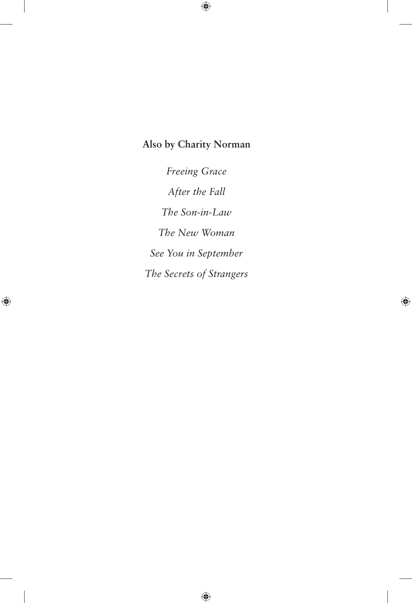# **Also by Charity Norman**

 $\bigoplus$ 

*Freeing Grace After the Fall The Son-in-Law The New Woman See You in September The Secrets of Strangers*

 $\bigoplus$ 

◈

 $\bigoplus$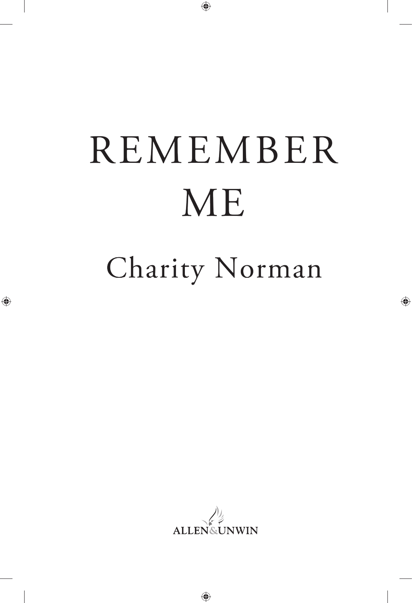# **REMEMBER** ME Charity Norman

⊕

 $\bigoplus$ 

 $\bigoplus$ 



 $\bigoplus$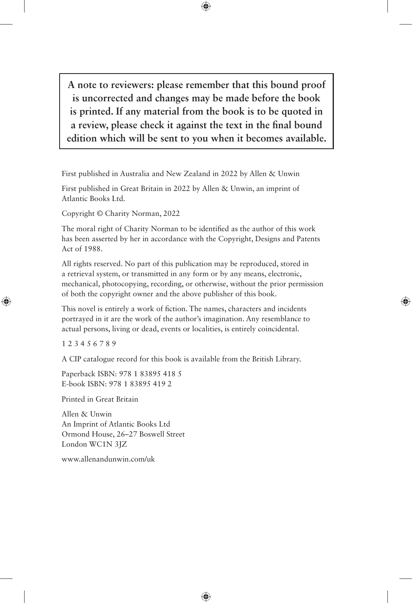**A note to reviewers: please remember that this bound proof is uncorrected and changes may be made before the book is printed. If any material from the book is to be quoted in a review, please check it against the text in the final bound edition which will be sent to you when it becomes available.**

⊕

First published in Australia and New Zealand in 2022 by Allen & Unwin

First published in Great Britain in 2022 by Allen & Unwin, an imprint of Atlantic Books Ltd.

Copyright © Charity Norman, 2022

The moral right of Charity Norman to be identified as the author of this work has been asserted by her in accordance with the Copyright, Designs and Patents Act of 1988.

All rights reserved. No part of this publication may be reproduced, stored in a retrieval system, or transmitted in any form or by any means, electronic, mechanical, photocopying, recording, or otherwise, without the prior permission of both the copyright owner and the above publisher of this book.

⊕

This novel is entirely a work of fiction. The names, characters and incidents portrayed in it are the work of the author's imagination. Any resemblance to actual persons, living or dead, events or localities, is entirely coincidental.

1 2 3 4 5 6 7 8 9

⊕

A CIP catalogue record for this book is available from the British Library.

♠

Paperback ISBN: 978 1 83895 418 5 E-book ISBN: 978 1 83895 419 2

Printed in Great Britain

Allen & Unwin An Imprint of Atlantic Books Ltd Ormond House, 26–27 Boswell Street London WC1N 3JZ

www.allenandunwin.com/uk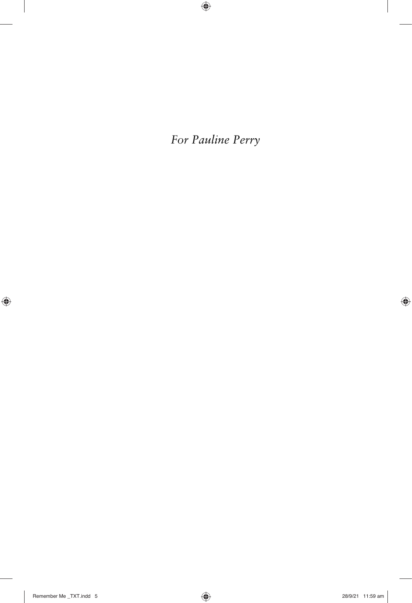

*For Pauline Perry*

 $\overline{\phantom{a}}$ 

 $\bigoplus$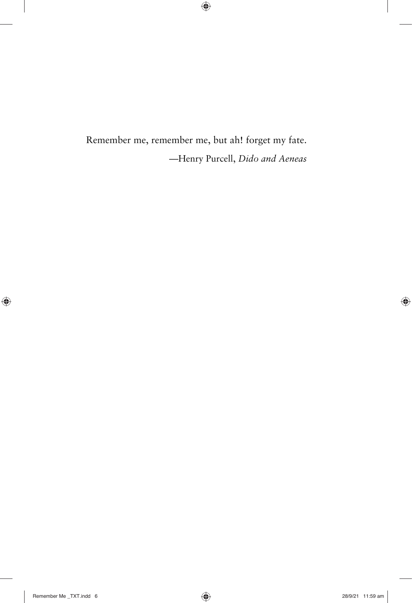$\bigoplus$ Remember me, remember me, but ah! forget my fate. —Henry Purcell, *Dido and Aeneas*

 $\bigoplus$ 

 $\bigoplus$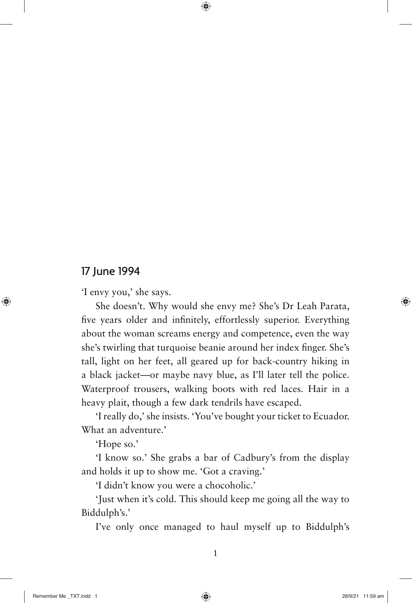# 17 June 1994

⊕

'I envy you,' she says.

She doesn't. Why would she envy me? She's Dr Leah Parata, five years older and infinitely, effortlessly superior. Everything about the woman screams energy and competence, even the way she's twirling that turquoise beanie around her index finger. She's tall, light on her feet, all geared up for back-country hiking in a black jacket—or maybe navy blue, as I'll later tell the police. Waterproof trousers, walking boots with red laces. Hair in a heavy plait, though a few dark tendrils have escaped.

 $\bigcirc$ 

'I really do,' she insists. 'You've bought your ticket to Ecuador. What an adventure.'

'Hope so.'

'I know so.' She grabs a bar of Cadbury's from the display and holds it up to show me. 'Got a craving.'

'I didn't know you were a chocoholic.'

'Just when it's cold. This should keep me going all the way to Biddulph's.'

I've only once managed to haul myself up to Biddulph's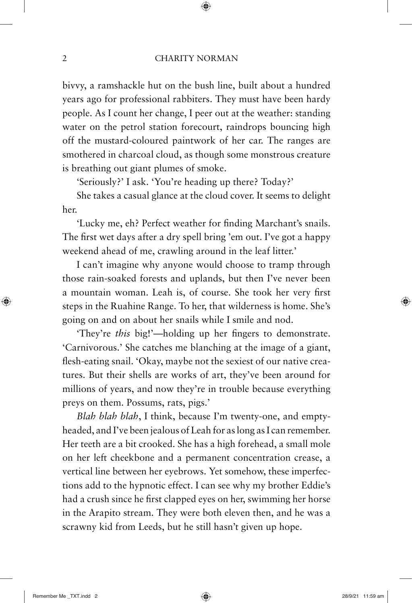⊕

bivvy, a ramshackle hut on the bush line, built about a hundred years ago for professional rabbiters. They must have been hardy people. As I count her change, I peer out at the weather: standing water on the petrol station forecourt, raindrops bouncing high off the mustard-coloured paintwork of her car. The ranges are smothered in charcoal cloud, as though some monstrous creature is breathing out giant plumes of smoke.

'Seriously?' I ask. 'You're heading up there? Today?'

She takes a casual glance at the cloud cover. It seems to delight her.

'Lucky me, eh? Perfect weather for finding Marchant's snails. The first wet days after a dry spell bring 'em out. I've got a happy weekend ahead of me, crawling around in the leaf litter.'

I can't imagine why anyone would choose to tramp through those rain-soaked forests and uplands, but then I've never been a mountain woman. Leah is, of course. She took her very first steps in the Ruahine Range. To her, that wilderness is home. She's going on and on about her snails while I smile and nod.

'They're *this* big!'—holding up her fingers to demonstrate. 'Carnivorous.' She catches me blanching at the image of a giant, flesh-eating snail. 'Okay, maybe not the sexiest of our native creatures. But their shells are works of art, they've been around for millions of years, and now they're in trouble because everything preys on them. Possums, rats, pigs.'

*Blah blah blah*, I think, because I'm twenty-one, and emptyheaded, and I've been jealous of Leah for as long as I can remember. Her teeth are a bit crooked. She has a high forehead, a small mole on her left cheekbone and a permanent concentration crease, a vertical line between her eyebrows. Yet somehow, these imperfections add to the hypnotic effect. I can see why my brother Eddie's had a crush since he first clapped eyes on her, swimming her horse in the Arapito stream. They were both eleven then, and he was a scrawny kid from Leeds, but he still hasn't given up hope.

◈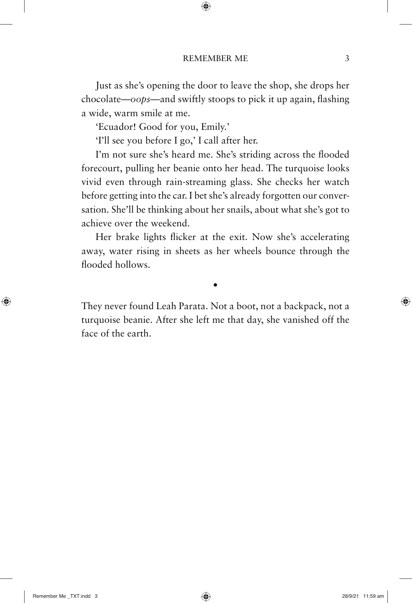⊕

Just as she's opening the door to leave the shop, she drops her chocolate—*oops*—and swiftly stoops to pick it up again, flashing a wide, warm smile at me.

'Ecuador! Good for you, Emily.'

'I'll see you before I go,' I call after her.

I'm not sure she's heard me. She's striding across the flooded forecourt, pulling her beanie onto her head. The turquoise looks vivid even through rain-streaming glass. She checks her watch before getting into the car. I bet she's already forgotten our conversation. She'll be thinking about her snails, about what she's got to achieve over the weekend.

Her brake lights flicker at the exit. Now she's accelerating away, water rising in sheets as her wheels bounce through the flooded hollows.

•

They never found Leah Parata. Not a boot, not a backpack, not a turquoise beanie. After she left me that day, she vanished off the face of the earth.

⊕

◈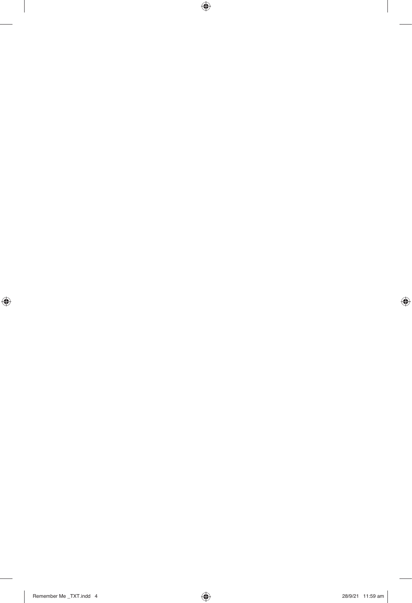

 $\overline{\phantom{a}}$ 

 $\bigoplus$ 

 $\bigoplus$ 

 $\overline{\phantom{a}}$ 

 $\bigoplus$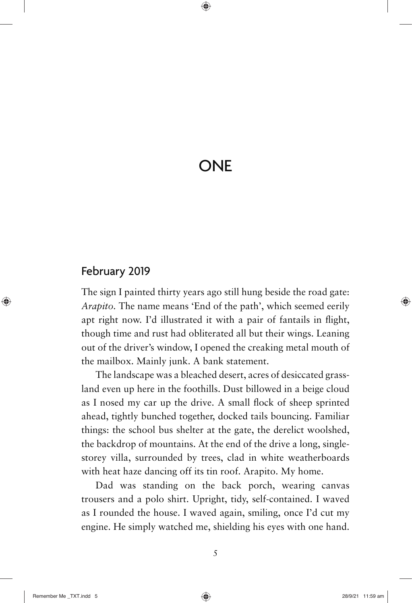# **ONE**

⊕

# February 2019

⊕

The sign I painted thirty years ago still hung beside the road gate: *Arapito.* The name means 'End of the path', which seemed eerily apt right now. I'd illustrated it with a pair of fantails in flight, though time and rust had obliterated all but their wings. Leaning out of the driver's window, I opened the creaking metal mouth of the mailbox. Mainly junk. A bank statement.

The landscape was a bleached desert, acres of desiccated grassland even up here in the foothills. Dust billowed in a beige cloud as I nosed my car up the drive. A small flock of sheep sprinted ahead, tightly bunched together, docked tails bouncing. Familiar things: the school bus shelter at the gate, the derelict woolshed, the backdrop of mountains. At the end of the drive a long, singlestorey villa, surrounded by trees, clad in white weatherboards with heat haze dancing off its tin roof. Arapito. My home.

Dad was standing on the back porch, wearing canvas trousers and a polo shirt. Upright, tidy, self-contained. I waved as I rounded the house. I waved again, smiling, once I'd cut my engine. He simply watched me, shielding his eyes with one hand.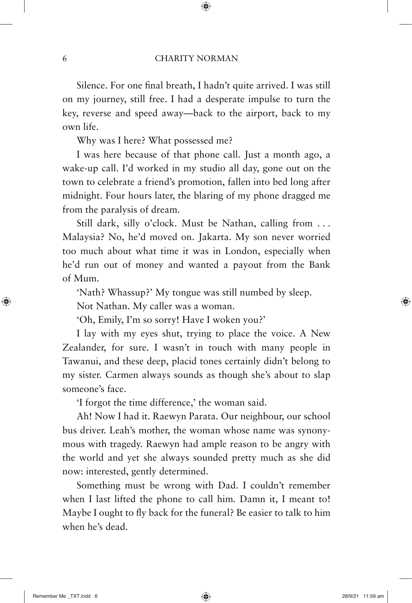⊕

Silence. For one final breath, I hadn't quite arrived. I was still on my journey, still free. I had a desperate impulse to turn the key, reverse and speed away—back to the airport, back to my own life.

Why was I here? What possessed me?

I was here because of that phone call. Just a month ago, a wake-up call. I'd worked in my studio all day, gone out on the town to celebrate a friend's promotion, fallen into bed long after midnight. Four hours later, the blaring of my phone dragged me from the paralysis of dream.

Still dark, silly o'clock. Must be Nathan, calling from . . . Malaysia? No, he'd moved on. Jakarta. My son never worried too much about what time it was in London, especially when he'd run out of money and wanted a payout from the Bank of Mum.

'Nath? Whassup?' My tongue was still numbed by sleep.

Not Nathan. My caller was a woman.

'Oh, Emily, I'm so sorry! Have I woken you?'

I lay with my eyes shut, trying to place the voice. A New Zealander, for sure. I wasn't in touch with many people in Tawanui, and these deep, placid tones certainly didn't belong to my sister. Carmen always sounds as though she's about to slap someone's face.

'I forgot the time difference,' the woman said.

Ah! Now I had it. Raewyn Parata. Our neighbour, our school bus driver. Leah's mother, the woman whose name was synonymous with tragedy. Raewyn had ample reason to be angry with the world and yet she always sounded pretty much as she did now: interested, gently determined.

Something must be wrong with Dad. I couldn't remember when I last lifted the phone to call him. Damn it, I meant to! Maybe I ought to fly back for the funeral? Be easier to talk to him when he's dead.

◈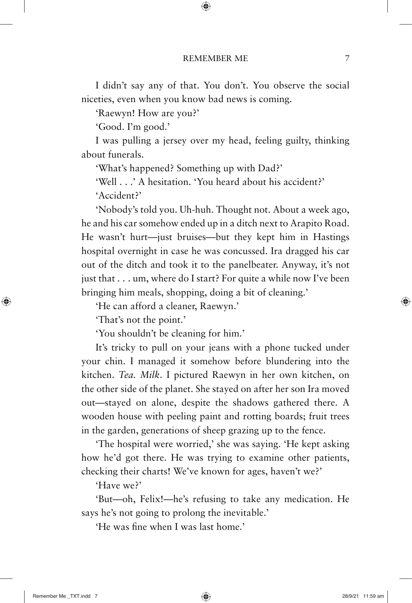⊕

I didn't say any of that. You don't. You observe the social niceties, even when you know bad news is coming.

'Raewyn! How are you?'

'Good. I'm good.'

I was pulling a jersey over my head, feeling guilty, thinking about funerals.

'What's happened? Something up with Dad?'

'Well . . .' A hesitation. 'You heard about his accident?' 'Accident?'

'Nobody's told you. Uh-huh. Thought not. About a week ago, he and his car somehow ended up in a ditch next to Arapito Road. He wasn't hurt—just bruises—but they kept him in Hastings hospital overnight in case he was concussed. Ira dragged his car out of the ditch and took it to the panelbeater. Anyway, it's not just that . . . um, where do I start? For quite a while now I've been bringing him meals, shopping, doing a bit of cleaning.'

'He can afford a cleaner, Raewyn.'

'That's not the point.'

'You shouldn't be cleaning for him.'

It's tricky to pull on your jeans with a phone tucked under your chin. I managed it somehow before blundering into the kitchen. *Tea. Milk.* I pictured Raewyn in her own kitchen, on the other side of the planet. She stayed on after her son Ira moved out—stayed on alone, despite the shadows gathered there. A wooden house with peeling paint and rotting boards; fruit trees in the garden, generations of sheep grazing up to the fence.

'The hospital were worried,' she was saying. 'He kept asking how he'd got there. He was trying to examine other patients, checking their charts! We've known for ages, haven't we?'

'Have we?'

'But—oh, Felix!—he's refusing to take any medication. He says he's not going to prolong the inevitable.'

'He was fine when I was last home.'

⊕

◈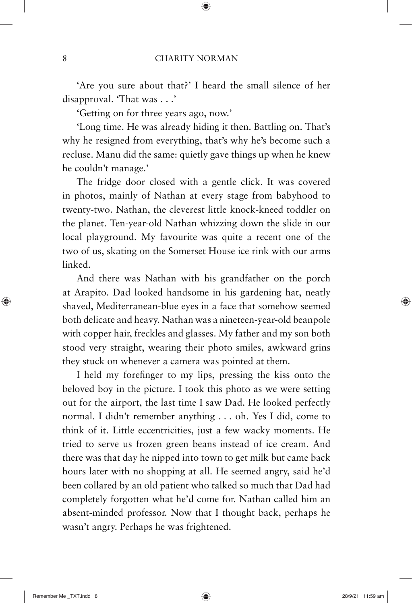⊕

'Are you sure about that?' I heard the small silence of her disapproval. 'That was . . .'

'Getting on for three years ago, now.'

'Long time. He was already hiding it then. Battling on. That's why he resigned from everything, that's why he's become such a recluse. Manu did the same: quietly gave things up when he knew he couldn't manage.'

The fridge door closed with a gentle click. It was covered in photos, mainly of Nathan at every stage from babyhood to twenty-two. Nathan, the cleverest little knock-kneed toddler on the planet. Ten-year-old Nathan whizzing down the slide in our local playground. My favourite was quite a recent one of the two of us, skating on the Somerset House ice rink with our arms linked.

And there was Nathan with his grandfather on the porch at Arapito. Dad looked handsome in his gardening hat, neatly shaved, Mediterranean-blue eyes in a face that somehow seemed both delicate and heavy. Nathan was a nineteen-year-old beanpole with copper hair, freckles and glasses. My father and my son both stood very straight, wearing their photo smiles, awkward grins they stuck on whenever a camera was pointed at them.

I held my forefinger to my lips, pressing the kiss onto the beloved boy in the picture. I took this photo as we were setting out for the airport, the last time I saw Dad. He looked perfectly normal. I didn't remember anything . . . oh. Yes I did, come to think of it. Little eccentricities, just a few wacky moments. He tried to serve us frozen green beans instead of ice cream. And there was that day he nipped into town to get milk but came back hours later with no shopping at all. He seemed angry, said he'd been collared by an old patient who talked so much that Dad had completely forgotten what he'd come for. Nathan called him an absent-minded professor. Now that I thought back, perhaps he wasn't angry. Perhaps he was frightened.

◈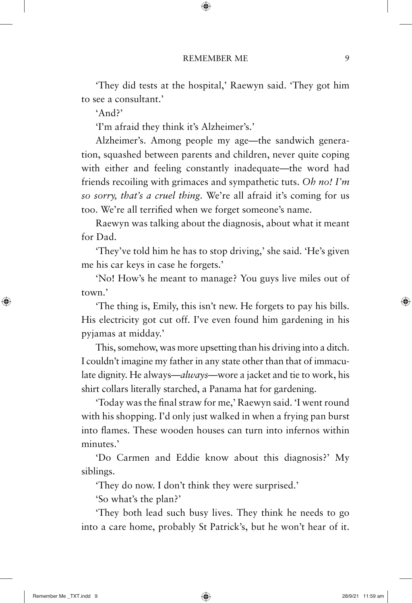⊕

'They did tests at the hospital,' Raewyn said. 'They got him to see a consultant.'

'And?'

'I'm afraid they think it's Alzheimer's.'

Alzheimer's. Among people my age—the sandwich generation, squashed between parents and children, never quite coping with either and feeling constantly inadequate—the word had friends recoiling with grimaces and sympathetic tuts. *Oh no! I'm so sorry, that's a cruel thing.* We're all afraid it's coming for us too. We're all terrified when we forget someone's name.

Raewyn was talking about the diagnosis, about what it meant for Dad.

'They've told him he has to stop driving,' she said. 'He's given me his car keys in case he forgets.'

'No! How's he meant to manage? You guys live miles out of town.'

'The thing is, Emily, this isn't new. He forgets to pay his bills. His electricity got cut off. I've even found him gardening in his pyjamas at midday.'

This, somehow, was more upsetting than his driving into a ditch. I couldn't imagine my father in any state other than that of immaculate dignity. He always—*always*—wore a jacket and tie to work, his shirt collars literally starched, a Panama hat for gardening.

'Today was the final straw for me,' Raewyn said. 'I went round with his shopping. I'd only just walked in when a frying pan burst into flames. These wooden houses can turn into infernos within minutes.'

'Do Carmen and Eddie know about this diagnosis?' My siblings.

'They do now. I don't think they were surprised.'

'So what's the plan?'

'They both lead such busy lives. They think he needs to go into a care home, probably St Patrick's, but he won't hear of it.

Remember Me \_TXT.indd 9 28/9/21 11:59 am

⊕

◈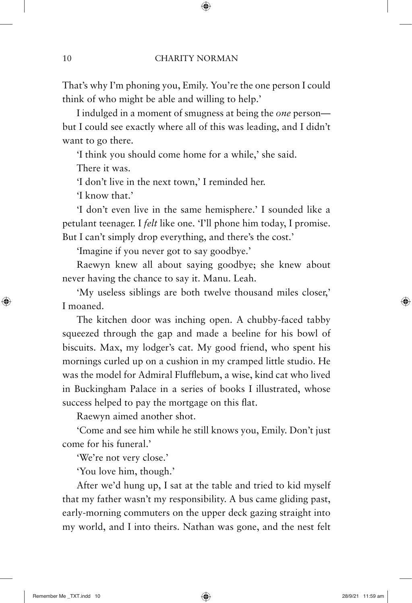⊕

That's why I'm phoning you, Emily. You're the one person I could think of who might be able and willing to help.'

I indulged in a moment of smugness at being the *one* person but I could see exactly where all of this was leading, and I didn't want to go there.

'I think you should come home for a while,' she said.

There it was.

'I don't live in the next town,' I reminded her.

'I know that.'

'I don't even live in the same hemisphere.' I sounded like a petulant teenager. I *felt* like one. 'I'll phone him today, I promise. But I can't simply drop everything, and there's the cost.'

'Imagine if you never got to say goodbye.'

Raewyn knew all about saying goodbye; she knew about never having the chance to say it. Manu. Leah.

'My useless siblings are both twelve thousand miles closer,' I moaned.

The kitchen door was inching open. A chubby-faced tabby squeezed through the gap and made a beeline for his bowl of biscuits. Max, my lodger's cat. My good friend, who spent his mornings curled up on a cushion in my cramped little studio. He was the model for Admiral Flufflebum, a wise, kind cat who lived in Buckingham Palace in a series of books I illustrated, whose success helped to pay the mortgage on this flat.

Raewyn aimed another shot.

'Come and see him while he still knows you, Emily. Don't just come for his funeral.'

'We're not very close.'

'You love him, though.'

After we'd hung up, I sat at the table and tried to kid myself that my father wasn't my responsibility. A bus came gliding past, early-morning commuters on the upper deck gazing straight into my world, and I into theirs. Nathan was gone, and the nest felt

◈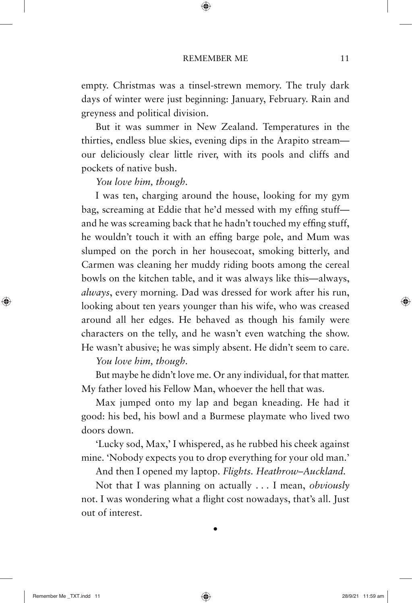⊕

empty. Christmas was a tinsel-strewn memory. The truly dark days of winter were just beginning: January, February. Rain and greyness and political division.

But it was summer in New Zealand. Temperatures in the thirties, endless blue skies, evening dips in the Arapito stream our deliciously clear little river, with its pools and cliffs and pockets of native bush.

*You love him, though.* 

I was ten, charging around the house, looking for my gym bag, screaming at Eddie that he'd messed with my effing stuff and he was screaming back that he hadn't touched my effing stuff, he wouldn't touch it with an effing barge pole, and Mum was slumped on the porch in her housecoat, smoking bitterly, and Carmen was cleaning her muddy riding boots among the cereal bowls on the kitchen table, and it was always like this—always, *always*, every morning. Dad was dressed for work after his run, looking about ten years younger than his wife, who was creased around all her edges. He behaved as though his family were characters on the telly, and he wasn't even watching the show. He wasn't abusive; he was simply absent. He didn't seem to care.

*You love him, though.* 

But maybe he didn't love me. Or any individual, for that matter. My father loved his Fellow Man, whoever the hell that was.

Max jumped onto my lap and began kneading. He had it good: his bed, his bowl and a Burmese playmate who lived two doors down.

'Lucky sod, Max,' I whispered, as he rubbed his cheek against mine. 'Nobody expects you to drop everything for your old man.'

And then I opened my laptop. *Flights. Heathrow–Auckland.* 

Not that I was planning on actually . . . I mean, *obviously* not. I was wondering what a flight cost nowadays, that's all. Just out of interest.

•

⊕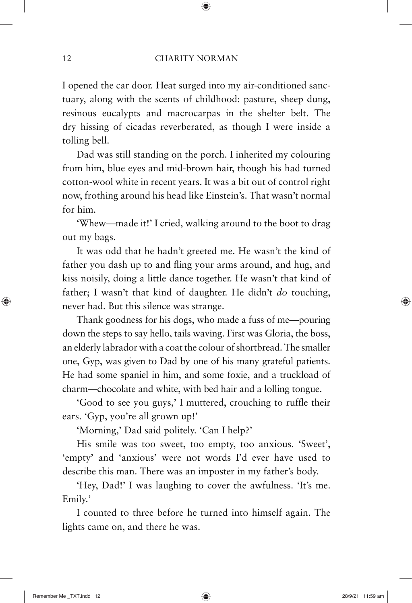⊕

I opened the car door. Heat surged into my air-conditioned sanctuary, along with the scents of childhood: pasture, sheep dung, resinous eucalypts and macrocarpas in the shelter belt. The dry hissing of cicadas reverberated, as though I were inside a tolling bell.

Dad was still standing on the porch. I inherited my colouring from him, blue eyes and mid-brown hair, though his had turned cotton-wool white in recent years. It was a bit out of control right now, frothing around his head like Einstein's. That wasn't normal for him.

'Whew—made it!' I cried, walking around to the boot to drag out my bags.

It was odd that he hadn't greeted me. He wasn't the kind of father you dash up to and fling your arms around, and hug, and kiss noisily, doing a little dance together. He wasn't that kind of father; I wasn't that kind of daughter. He didn't *do* touching, never had. But this silence was strange.

Thank goodness for his dogs, who made a fuss of me—pouring down the steps to say hello, tails waving. First was Gloria, the boss, an elderly labrador with a coat the colour of shortbread. The smaller one, Gyp, was given to Dad by one of his many grateful patients. He had some spaniel in him, and some foxie, and a truckload of charm—chocolate and white, with bed hair and a lolling tongue.

'Good to see you guys,' I muttered, crouching to ruffle their ears. 'Gyp, you're all grown up!'

'Morning,' Dad said politely. 'Can I help?'

His smile was too sweet, too empty, too anxious. 'Sweet', 'empty' and 'anxious' were not words I'd ever have used to describe this man. There was an imposter in my father's body.

'Hey, Dad!' I was laughing to cover the awfulness. 'It's me. Emily.'

I counted to three before he turned into himself again. The lights came on, and there he was.

◈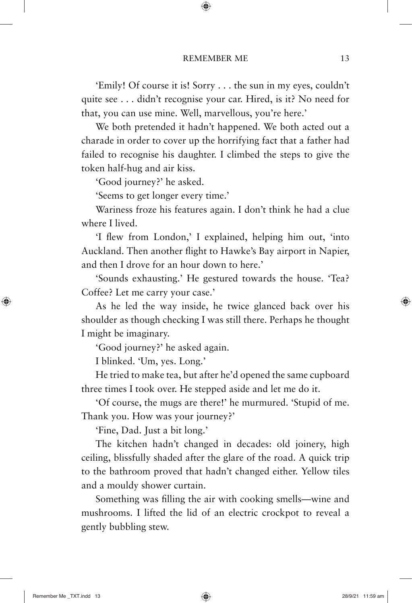⊕

'Emily! Of course it is! Sorry . . . the sun in my eyes, couldn't quite see . . . didn't recognise your car. Hired, is it? No need for that, you can use mine. Well, marvellous, you're here.'

We both pretended it hadn't happened. We both acted out a charade in order to cover up the horrifying fact that a father had failed to recognise his daughter. I climbed the steps to give the token half-hug and air kiss.

'Good journey?' he asked.

'Seems to get longer every time.'

Wariness froze his features again. I don't think he had a clue where I lived.

'I flew from London,' I explained, helping him out, 'into Auckland. Then another flight to Hawke's Bay airport in Napier, and then I drove for an hour down to here.'

'Sounds exhausting.' He gestured towards the house. 'Tea? Coffee? Let me carry your case.'

As he led the way inside, he twice glanced back over his shoulder as though checking I was still there. Perhaps he thought I might be imaginary.

'Good journey?' he asked again.

I blinked. 'Um, yes. Long.'

He tried to make tea, but after he'd opened the same cupboard three times I took over. He stepped aside and let me do it.

'Of course, the mugs are there!' he murmured. 'Stupid of me. Thank you. How was your journey?'

'Fine, Dad. Just a bit long.'

The kitchen hadn't changed in decades: old joinery, high ceiling, blissfully shaded after the glare of the road. A quick trip to the bathroom proved that hadn't changed either. Yellow tiles and a mouldy shower curtain.

Something was filling the air with cooking smells—wine and mushrooms. I lifted the lid of an electric crockpot to reveal a gently bubbling stew.

⊕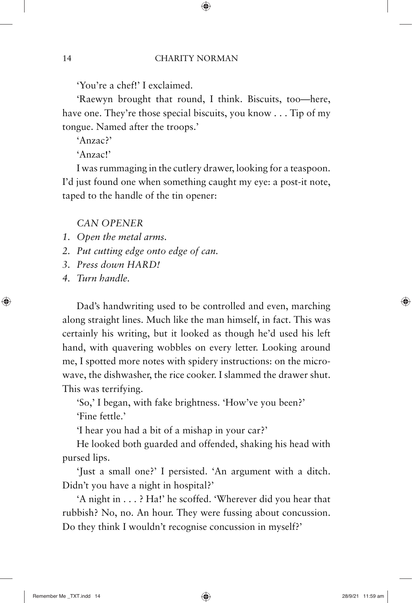⊕

'You're a chef!' I exclaimed.

'Raewyn brought that round, I think. Biscuits, too—here, have one. They're those special biscuits, you know . . . Tip of my tongue. Named after the troops.'

'Anzac?'

'Anzac!'

I was rummaging in the cutlery drawer, looking for a teaspoon. I'd just found one when something caught my eye: a post-it note, taped to the handle of the tin opener:

# *CAN OPENER*

*1. Open the metal arms.* 

*2. Put cutting edge onto edge of can.*

*3. Press down HARD!* 

*4. Turn handle.* 

⊕

Dad's handwriting used to be controlled and even, marching along straight lines. Much like the man himself, in fact. This was certainly his writing, but it looked as though he'd used his left hand, with quavering wobbles on every letter. Looking around me, I spotted more notes with spidery instructions: on the microwave, the dishwasher, the rice cooker. I slammed the drawer shut. This was terrifying.

'So,' I began, with fake brightness. 'How've you been?' 'Fine fettle.'

'I hear you had a bit of a mishap in your car?'

He looked both guarded and offended, shaking his head with pursed lips.

'Just a small one?' I persisted. 'An argument with a ditch. Didn't you have a night in hospital?'

'A night in . . . ? Ha!' he scoffed. 'Wherever did you hear that rubbish? No, no. An hour. They were fussing about concussion. Do they think I wouldn't recognise concussion in myself?'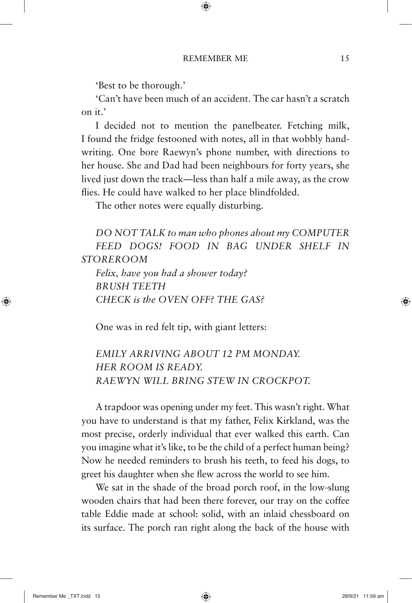⊕

'Best to be thorough.'

'Can't have been much of an accident. The car hasn't a scratch on it.'

I decided not to mention the panelbeater. Fetching milk, I found the fridge festooned with notes, all in that wobbly handwriting. One bore Raewyn's phone number, with directions to her house. She and Dad had been neighbours for forty years, she lived just down the track—less than half a mile away, as the crow flies. He could have walked to her place blindfolded.

The other notes were equally disturbing.

*DO NOT TALK to man who phones about my COMPUTER FEED DOGS! FOOD IN BAG UNDER SHELF IN STOREROOM Felix, have you had a shower today? BRUSH TEETH CHECK is the OVEN OFF? THE GAS?*

One was in red felt tip, with giant letters:

*EMILY ARRIVING ABOUT 12 PM MONDAY. HER ROOM IS READY. RAEWYN WILL BRING STEW IN CROCKPOT.* 

A trapdoor was opening under my feet. This wasn't right. What you have to understand is that my father, Felix Kirkland, was the most precise, orderly individual that ever walked this earth. Can you imagine what it's like, to be the child of a perfect human being? Now he needed reminders to brush his teeth, to feed his dogs, to greet his daughter when she flew across the world to see him.

We sat in the shade of the broad porch roof, in the low-slung wooden chairs that had been there forever, our tray on the coffee table Eddie made at school: solid, with an inlaid chessboard on its surface. The porch ran right along the back of the house with

◈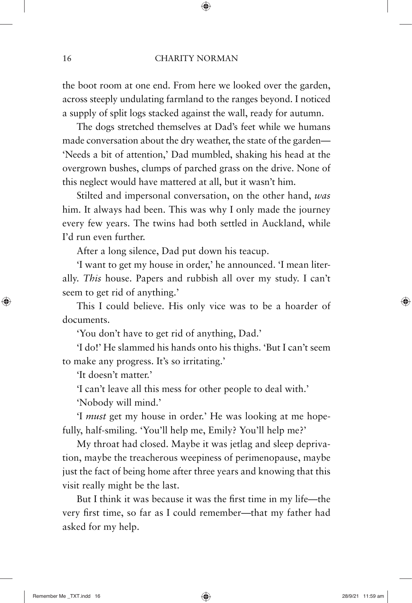⊕

the boot room at one end. From here we looked over the garden, across steeply undulating farmland to the ranges beyond. I noticed a supply of split logs stacked against the wall, ready for autumn.

The dogs stretched themselves at Dad's feet while we humans made conversation about the dry weather, the state of the garden— 'Needs a bit of attention,' Dad mumbled, shaking his head at the overgrown bushes, clumps of parched grass on the drive. None of this neglect would have mattered at all, but it wasn't him.

Stilted and impersonal conversation, on the other hand, *was* him. It always had been. This was why I only made the journey every few years. The twins had both settled in Auckland, while I'd run even further.

After a long silence, Dad put down his teacup.

'I want to get my house in order,' he announced. 'I mean literally. *This* house. Papers and rubbish all over my study. I can't seem to get rid of anything.'

This I could believe. His only vice was to be a hoarder of documents.

'You don't have to get rid of anything, Dad.'

'I do!' He slammed his hands onto his thighs. 'But I can't seem to make any progress. It's so irritating.'

'It doesn't matter.'

'I can't leave all this mess for other people to deal with.'

'Nobody will mind.'

'I *must* get my house in order.' He was looking at me hopefully, half-smiling. 'You'll help me, Emily? You'll help me?'

My throat had closed. Maybe it was jetlag and sleep deprivation, maybe the treacherous weepiness of perimenopause, maybe just the fact of being home after three years and knowing that this visit really might be the last.

But I think it was because it was the first time in my life—the very first time, so far as I could remember—that my father had asked for my help.

◈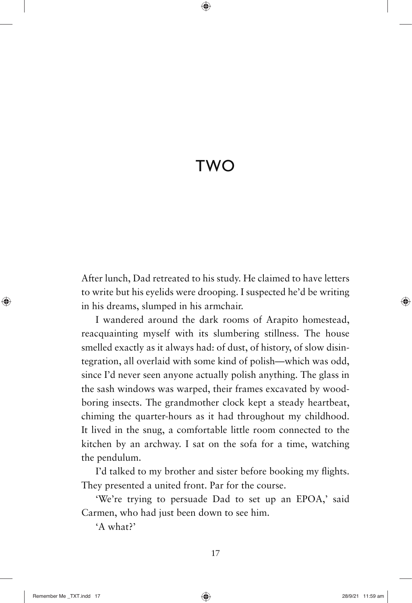# TWC

⊕

After lunch, Dad retreated to his study. He claimed to have letters to write but his eyelids were drooping. I suspected he'd be writing in his dreams, slumped in his armchair.

I wandered around the dark rooms of Arapito homestead, reacquainting myself with its slumbering stillness. The house smelled exactly as it always had: of dust, of history, of slow disintegration, all overlaid with some kind of polish—which was odd, since I'd never seen anyone actually polish anything. The glass in the sash windows was warped, their frames excavated by woodboring insects. The grandmother clock kept a steady heartbeat, chiming the quarter-hours as it had throughout my childhood. It lived in the snug, a comfortable little room connected to the kitchen by an archway. I sat on the sofa for a time, watching the pendulum.

I'd talked to my brother and sister before booking my flights. They presented a united front. Par for the course.

'We're trying to persuade Dad to set up an EPOA,' said Carmen, who had just been down to see him.

'A what?'

◈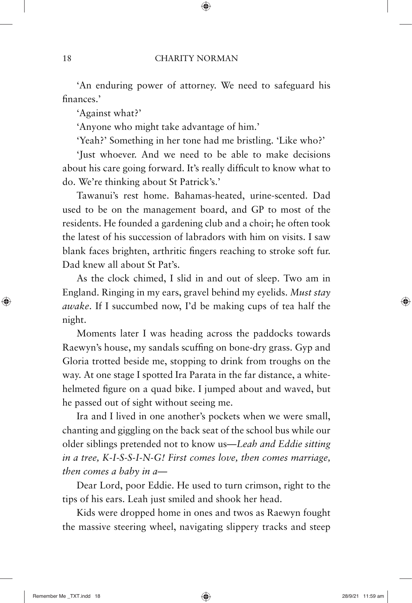⊕

'An enduring power of attorney. We need to safeguard his finances.'

'Against what?'

'Anyone who might take advantage of him.'

'Yeah?' Something in her tone had me bristling. 'Like who?'

'Just whoever. And we need to be able to make decisions about his care going forward. It's really difficult to know what to do. We're thinking about St Patrick's.'

Tawanui's rest home. Bahamas-heated, urine-scented. Dad used to be on the management board, and GP to most of the residents. He founded a gardening club and a choir; he often took the latest of his succession of labradors with him on visits. I saw blank faces brighten, arthritic fingers reaching to stroke soft fur. Dad knew all about St Pat's.

As the clock chimed, I slid in and out of sleep. Two am in England. Ringing in my ears, gravel behind my eyelids. *Must stay awake*. If I succumbed now, I'd be making cups of tea half the night.

Moments later I was heading across the paddocks towards Raewyn's house, my sandals scuffing on bone-dry grass. Gyp and Gloria trotted beside me, stopping to drink from troughs on the way. At one stage I spotted Ira Parata in the far distance, a whitehelmeted figure on a quad bike. I jumped about and waved, but he passed out of sight without seeing me.

Ira and I lived in one another's pockets when we were small, chanting and giggling on the back seat of the school bus while our older siblings pretended not to know us—*Leah and Eddie sitting in a tree, K-I-S-S-I-N-G! First comes love, then comes marriage, then comes a baby in a—*

Dear Lord, poor Eddie. He used to turn crimson, right to the tips of his ears. Leah just smiled and shook her head.

Kids were dropped home in ones and twos as Raewyn fought the massive steering wheel, navigating slippery tracks and steep

◈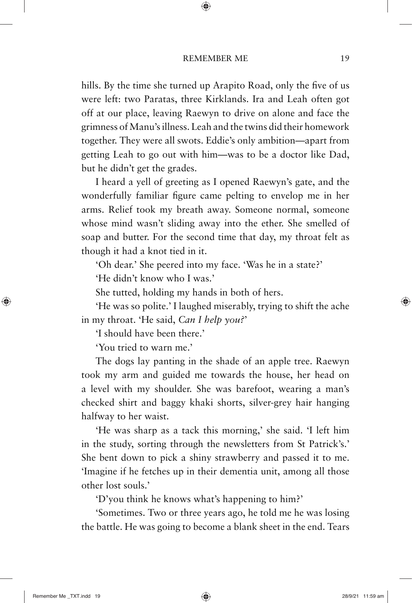⊕

hills. By the time she turned up Arapito Road, only the five of us were left: two Paratas, three Kirklands. Ira and Leah often got off at our place, leaving Raewyn to drive on alone and face the grimness of Manu's illness. Leah and the twins did their homework together. They were all swots. Eddie's only ambition—apart from getting Leah to go out with him—was to be a doctor like Dad, but he didn't get the grades.

I heard a yell of greeting as I opened Raewyn's gate, and the wonderfully familiar figure came pelting to envelop me in her arms. Relief took my breath away. Someone normal, someone whose mind wasn't sliding away into the ether. She smelled of soap and butter. For the second time that day, my throat felt as though it had a knot tied in it.

'Oh dear.' She peered into my face. 'Was he in a state?'

'He didn't know who I was.'

She tutted, holding my hands in both of hers.

'He was so polite.' I laughed miserably, trying to shift the ache in my throat. 'He said, *Can I help you?*'

'I should have been there.'

'You tried to warn me.'

The dogs lay panting in the shade of an apple tree. Raewyn took my arm and guided me towards the house, her head on a level with my shoulder. She was barefoot, wearing a man's checked shirt and baggy khaki shorts, silver-grey hair hanging halfway to her waist.

'He was sharp as a tack this morning,' she said. 'I left him in the study, sorting through the newsletters from St Patrick's.' She bent down to pick a shiny strawberry and passed it to me. 'Imagine if he fetches up in their dementia unit, among all those other lost souls.'

'D'you think he knows what's happening to him?'

'Sometimes. Two or three years ago, he told me he was losing the battle. He was going to become a blank sheet in the end. Tears

◈

◈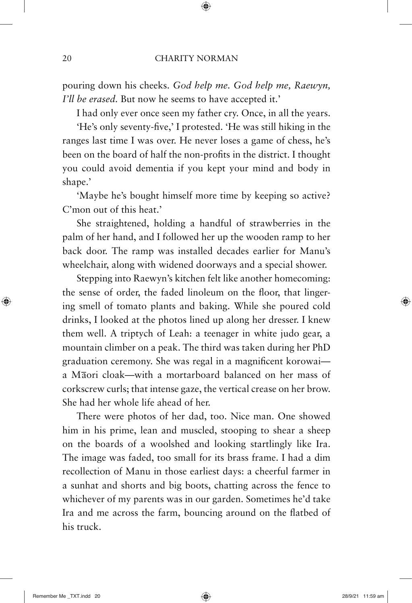⊕

pouring down his cheeks. *God help me. God help me, Raewyn, I'll be erased.* But now he seems to have accepted it.'

I had only ever once seen my father cry. Once, in all the years.

'He's only seventy-five,' I protested. 'He was still hiking in the ranges last time I was over. He never loses a game of chess, he's been on the board of half the non-profits in the district. I thought you could avoid dementia if you kept your mind and body in shape.'

'Maybe he's bought himself more time by keeping so active? C'mon out of this heat.'

She straightened, holding a handful of strawberries in the palm of her hand, and I followed her up the wooden ramp to her back door. The ramp was installed decades earlier for Manu's wheelchair, along with widened doorways and a special shower.

Stepping into Raewyn's kitchen felt like another homecoming: the sense of order, the faded linoleum on the floor, that lingering smell of tomato plants and baking. While she poured cold drinks, I looked at the photos lined up along her dresser. I knew them well. A triptych of Leah: a teenager in white judo gear, a mountain climber on a peak. The third was taken during her PhD graduation ceremony. She was regal in a magnificent korowai a Maori cloak—with a mortarboard balanced on her mass of corkscrew curls; that intense gaze, the vertical crease on her brow. She had her whole life ahead of her.

There were photos of her dad, too. Nice man. One showed him in his prime, lean and muscled, stooping to shear a sheep on the boards of a woolshed and looking startlingly like Ira. The image was faded, too small for its brass frame. I had a dim recollection of Manu in those earliest days: a cheerful farmer in a sunhat and shorts and big boots, chatting across the fence to whichever of my parents was in our garden. Sometimes he'd take Ira and me across the farm, bouncing around on the flatbed of his truck.

◈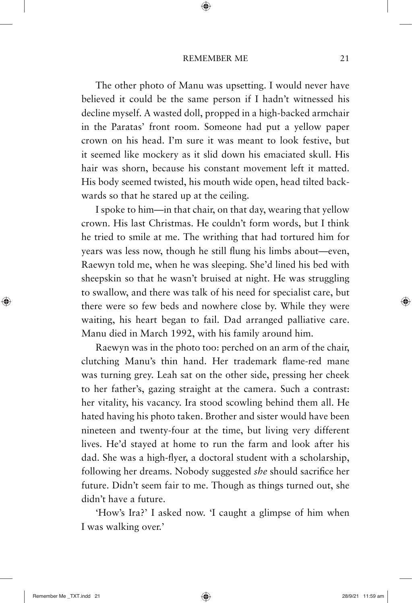⊕

The other photo of Manu was upsetting. I would never have believed it could be the same person if I hadn't witnessed his decline myself. A wasted doll, propped in a high-backed armchair in the Paratas' front room. Someone had put a yellow paper crown on his head. I'm sure it was meant to look festive, but it seemed like mockery as it slid down his emaciated skull. His hair was shorn, because his constant movement left it matted. His body seemed twisted, his mouth wide open, head tilted backwards so that he stared up at the ceiling.

I spoke to him—in that chair, on that day, wearing that yellow crown. His last Christmas. He couldn't form words, but I think he tried to smile at me. The writhing that had tortured him for years was less now, though he still flung his limbs about—even, Raewyn told me, when he was sleeping. She'd lined his bed with sheepskin so that he wasn't bruised at night. He was struggling to swallow, and there was talk of his need for specialist care, but there were so few beds and nowhere close by. While they were waiting, his heart began to fail. Dad arranged palliative care. Manu died in March 1992, with his family around him.

Raewyn was in the photo too: perched on an arm of the chair, clutching Manu's thin hand. Her trademark flame-red mane was turning grey. Leah sat on the other side, pressing her cheek to her father's, gazing straight at the camera. Such a contrast: her vitality, his vacancy. Ira stood scowling behind them all. He hated having his photo taken. Brother and sister would have been nineteen and twenty-four at the time, but living very different lives. He'd stayed at home to run the farm and look after his dad. She was a high-flyer, a doctoral student with a scholarship, following her dreams. Nobody suggested *she* should sacrifice her future. Didn't seem fair to me. Though as things turned out, she didn't have a future.

'How's Ira?' I asked now. 'I caught a glimpse of him when I was walking over.'

◈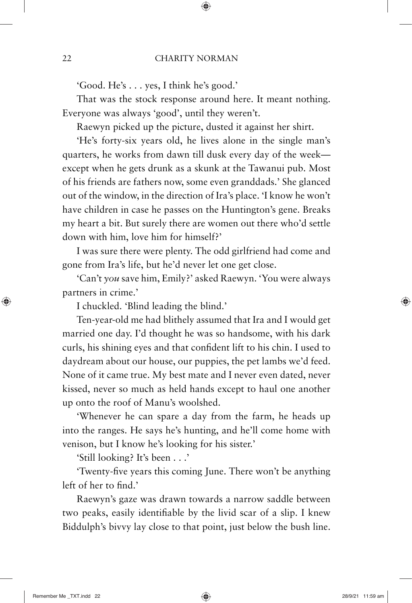⊕

'Good. He's . . . yes, I think he's good.'

That was the stock response around here. It meant nothing. Everyone was always 'good', until they weren't.

Raewyn picked up the picture, dusted it against her shirt.

'He's forty-six years old, he lives alone in the single man's quarters, he works from dawn till dusk every day of the week except when he gets drunk as a skunk at the Tawanui pub. Most of his friends are fathers now, some even granddads.' She glanced out of the window, in the direction of Ira's place. 'I know he won't have children in case he passes on the Huntington's gene. Breaks my heart a bit. But surely there are women out there who'd settle down with him, love him for himself?'

I was sure there were plenty. The odd girlfriend had come and gone from Ira's life, but he'd never let one get close.

'Can't *you* save him, Emily?' asked Raewyn. 'You were always partners in crime.'

I chuckled. 'Blind leading the blind.'

Ten-year-old me had blithely assumed that Ira and I would get married one day. I'd thought he was so handsome, with his dark curls, his shining eyes and that confident lift to his chin. I used to daydream about our house, our puppies, the pet lambs we'd feed. None of it came true. My best mate and I never even dated, never kissed, never so much as held hands except to haul one another up onto the roof of Manu's woolshed.

'Whenever he can spare a day from the farm, he heads up into the ranges. He says he's hunting, and he'll come home with venison, but I know he's looking for his sister.'

'Still looking? It's been . . .'

'Twenty-five years this coming June. There won't be anything left of her to find.'

Raewyn's gaze was drawn towards a narrow saddle between two peaks, easily identifiable by the livid scar of a slip. I knew Biddulph's bivvy lay close to that point, just below the bush line.

◈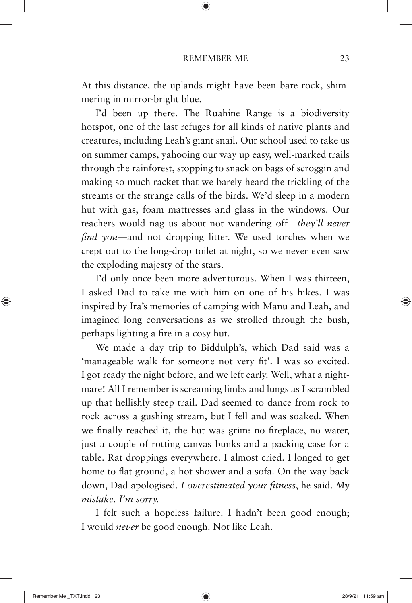⊕

At this distance, the uplands might have been bare rock, shimmering in mirror-bright blue.

I'd been up there. The Ruahine Range is a biodiversity hotspot, one of the last refuges for all kinds of native plants and creatures, including Leah's giant snail. Our school used to take us on summer camps, yahooing our way up easy, well-marked trails through the rainforest, stopping to snack on bags of scroggin and making so much racket that we barely heard the trickling of the streams or the strange calls of the birds. We'd sleep in a modern hut with gas, foam mattresses and glass in the windows. Our teachers would nag us about not wandering off—*they'll never find you*—and not dropping litter. We used torches when we crept out to the long-drop toilet at night, so we never even saw the exploding majesty of the stars.

I'd only once been more adventurous. When I was thirteen, I asked Dad to take me with him on one of his hikes. I was inspired by Ira's memories of camping with Manu and Leah, and imagined long conversations as we strolled through the bush, perhaps lighting a fire in a cosy hut.

We made a day trip to Biddulph's, which Dad said was a 'manageable walk for someone not very fit'. I was so excited. I got ready the night before, and we left early. Well, what a nightmare! All I remember is screaming limbs and lungs as I scrambled up that hellishly steep trail. Dad seemed to dance from rock to rock across a gushing stream, but I fell and was soaked. When we finally reached it, the hut was grim: no fireplace, no water, just a couple of rotting canvas bunks and a packing case for a table. Rat droppings everywhere. I almost cried. I longed to get home to flat ground, a hot shower and a sofa. On the way back down, Dad apologised. *I overestimated your fitness*, he said. *My mistake. I'm sorry.*

I felt such a hopeless failure. I hadn't been good enough; I would *never* be good enough. Not like Leah.

◈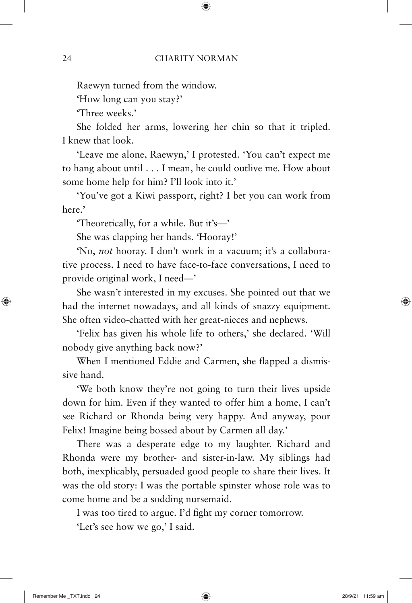⊕

Raewyn turned from the window.

'How long can you stay?'

'Three weeks.'

She folded her arms, lowering her chin so that it tripled. I knew that look.

'Leave me alone, Raewyn,' I protested. 'You can't expect me to hang about until . . . I mean, he could outlive me. How about some home help for him? I'll look into it.'

'You've got a Kiwi passport, right? I bet you can work from here.'

'Theoretically, for a while. But it's—'

She was clapping her hands. 'Hooray!'

'No, *not* hooray. I don't work in a vacuum; it's a collaborative process. I need to have face-to-face conversations, I need to provide original work, I need—'

She wasn't interested in my excuses. She pointed out that we had the internet nowadays, and all kinds of snazzy equipment. She often video-chatted with her great-nieces and nephews.

'Felix has given his whole life to others,' she declared. 'Will nobody give anything back now?'

When I mentioned Eddie and Carmen, she flapped a dismissive hand.

'We both know they're not going to turn their lives upside down for him. Even if they wanted to offer him a home, I can't see Richard or Rhonda being very happy. And anyway, poor Felix! Imagine being bossed about by Carmen all day.'

There was a desperate edge to my laughter. Richard and Rhonda were my brother- and sister-in-law. My siblings had both, inexplicably, persuaded good people to share their lives. It was the old story: I was the portable spinster whose role was to come home and be a sodding nursemaid.

I was too tired to argue. I'd fight my corner tomorrow.

'Let's see how we go,' I said.

⊕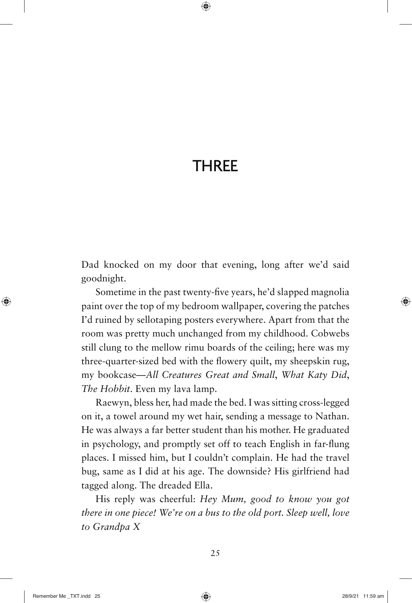# THREE

⊕

Dad knocked on my door that evening, long after we'd said goodnight.

Sometime in the past twenty-five years, he'd slapped magnolia paint over the top of my bedroom wallpaper, covering the patches I'd ruined by sellotaping posters everywhere. Apart from that the room was pretty much unchanged from my childhood. Cobwebs still clung to the mellow rimu boards of the ceiling; here was my three-quarter-sized bed with the flowery quilt, my sheepskin rug, my bookcase—*All Creatures Great and Small*, *What Katy Did*, *The Hobbit*. Even my lava lamp.

Raewyn, bless her, had made the bed. I was sitting cross-legged on it, a towel around my wet hair, sending a message to Nathan. He was always a far better student than his mother. He graduated in psychology, and promptly set off to teach English in far-flung places. I missed him, but I couldn't complain. He had the travel bug, same as I did at his age. The downside? His girlfriend had tagged along. The dreaded Ella.

His reply was cheerful: *Hey Mum, good to know you got there in one piece! We're on a bus to the old port. Sleep well, love to Grandpa X* 

◈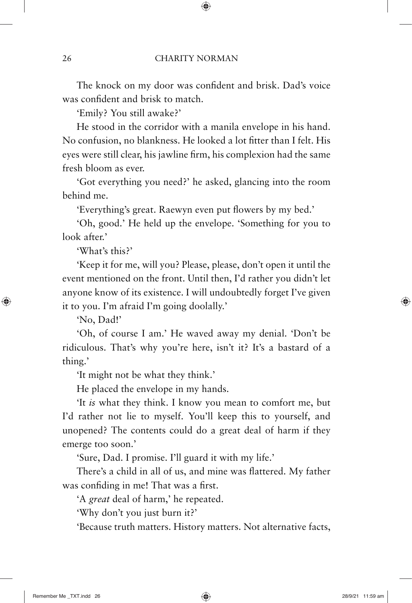⊕

The knock on my door was confident and brisk. Dad's voice was confident and brisk to match.

'Emily? You still awake?'

He stood in the corridor with a manila envelope in his hand. No confusion, no blankness. He looked a lot fitter than I felt. His eyes were still clear, his jawline firm, his complexion had the same fresh bloom as ever.

'Got everything you need?' he asked, glancing into the room behind me.

'Everything's great. Raewyn even put flowers by my bed.'

'Oh, good.' He held up the envelope. 'Something for you to look after.'

'What's this?'

'Keep it for me, will you? Please, please, don't open it until the event mentioned on the front. Until then, I'd rather you didn't let anyone know of its existence. I will undoubtedly forget I've given it to you. I'm afraid I'm going doolally.'

'No, Dad!'

◈

'Oh, of course I am.' He waved away my denial. 'Don't be ridiculous. That's why you're here, isn't it? It's a bastard of a thing.'

'It might not be what they think.'

He placed the envelope in my hands.

'It *is* what they think. I know you mean to comfort me, but I'd rather not lie to myself. You'll keep this to yourself, and unopened? The contents could do a great deal of harm if they emerge too soon.'

'Sure, Dad. I promise. I'll guard it with my life.'

There's a child in all of us, and mine was flattered. My father was confiding in me! That was a first.

'A *great* deal of harm,' he repeated.

'Why don't you just burn it?'

'Because truth matters. History matters. Not alternative facts,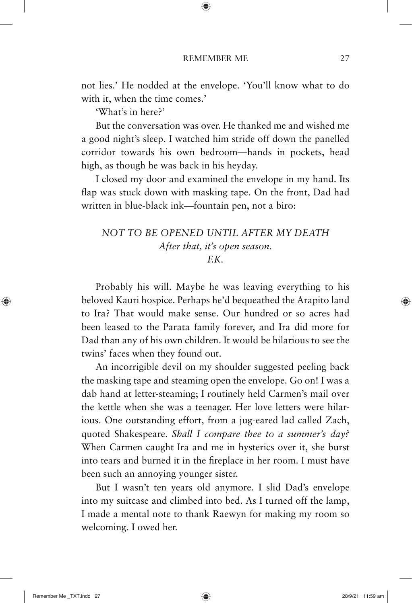⊕

not lies.' He nodded at the envelope. 'You'll know what to do with it, when the time comes.'

'What's in here?'

But the conversation was over. He thanked me and wished me a good night's sleep. I watched him stride off down the panelled corridor towards his own bedroom—hands in pockets, head high, as though he was back in his heyday.

I closed my door and examined the envelope in my hand. Its flap was stuck down with masking tape. On the front, Dad had written in blue-black ink—fountain pen, not a biro:

# *NOT TO BE OPENED UNTIL AFTER MY DEATH After that, it's open season. F.K.*

Probably his will. Maybe he was leaving everything to his beloved Kauri hospice. Perhaps he'd bequeathed the Arapito land to Ira? That would make sense. Our hundred or so acres had been leased to the Parata family forever, and Ira did more for Dad than any of his own children. It would be hilarious to see the twins' faces when they found out.

An incorrigible devil on my shoulder suggested peeling back the masking tape and steaming open the envelope. Go on! I was a dab hand at letter-steaming; I routinely held Carmen's mail over the kettle when she was a teenager. Her love letters were hilarious. One outstanding effort, from a jug-eared lad called Zach, quoted Shakespeare. *Shall I compare thee to a summer's day?* When Carmen caught Ira and me in hysterics over it, she burst into tears and burned it in the fireplace in her room. I must have been such an annoying younger sister.

But I wasn't ten years old anymore. I slid Dad's envelope into my suitcase and climbed into bed. As I turned off the lamp, I made a mental note to thank Raewyn for making my room so welcoming. I owed her.

⊕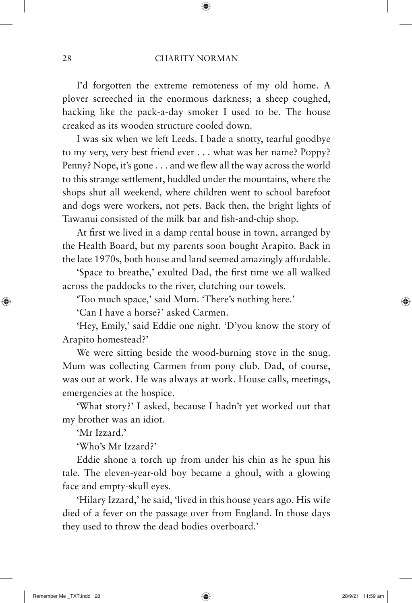⊕

I'd forgotten the extreme remoteness of my old home. A plover screeched in the enormous darkness; a sheep coughed, hacking like the pack-a-day smoker I used to be. The house creaked as its wooden structure cooled down.

I was six when we left Leeds. I bade a snotty, tearful goodbye to my very, very best friend ever . . . what was her name? Poppy? Penny? Nope, it's gone . . . and we flew all the way across the world to this strange settlement, huddled under the mountains, where the shops shut all weekend, where children went to school barefoot and dogs were workers, not pets. Back then, the bright lights of Tawanui consisted of the milk bar and fish-and-chip shop.

At first we lived in a damp rental house in town, arranged by the Health Board, but my parents soon bought Arapito. Back in the late 1970s, both house and land seemed amazingly affordable.

'Space to breathe,' exulted Dad, the first time we all walked across the paddocks to the river, clutching our towels.

'Too much space,' said Mum. 'There's nothing here.'

'Can I have a horse?' asked Carmen.

'Hey, Emily,' said Eddie one night. 'D'you know the story of Arapito homestead?'

We were sitting beside the wood-burning stove in the snug. Mum was collecting Carmen from pony club. Dad, of course, was out at work. He was always at work. House calls, meetings, emergencies at the hospice.

'What story?' I asked, because I hadn't yet worked out that my brother was an idiot.

'Mr Izzard.'

'Who's Mr Izzard?'

Eddie shone a torch up from under his chin as he spun his tale. The eleven-year-old boy became a ghoul, with a glowing face and empty-skull eyes.

'Hilary Izzard,' he said, 'lived in this house years ago. His wife died of a fever on the passage over from England. In those days they used to throw the dead bodies overboard.'

⊕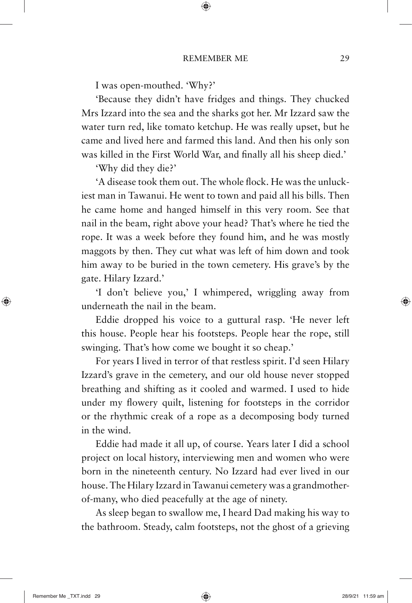⊕

I was open-mouthed. 'Why?'

'Because they didn't have fridges and things. They chucked Mrs Izzard into the sea and the sharks got her. Mr Izzard saw the water turn red, like tomato ketchup. He was really upset, but he came and lived here and farmed this land. And then his only son was killed in the First World War, and finally all his sheep died.'

'Why did they die?'

'A disease took them out. The whole flock. He was the unluckiest man in Tawanui. He went to town and paid all his bills. Then he came home and hanged himself in this very room. See that nail in the beam, right above your head? That's where he tied the rope. It was a week before they found him, and he was mostly maggots by then. They cut what was left of him down and took him away to be buried in the town cemetery. His grave's by the gate. Hilary Izzard.'

'I don't believe you,' I whimpered, wriggling away from underneath the nail in the beam.

Eddie dropped his voice to a guttural rasp. 'He never left this house. People hear his footsteps. People hear the rope, still swinging. That's how come we bought it so cheap.'

For years I lived in terror of that restless spirit. I'd seen Hilary Izzard's grave in the cemetery, and our old house never stopped breathing and shifting as it cooled and warmed. I used to hide under my flowery quilt, listening for footsteps in the corridor or the rhythmic creak of a rope as a decomposing body turned in the wind.

Eddie had made it all up, of course. Years later I did a school project on local history, interviewing men and women who were born in the nineteenth century. No Izzard had ever lived in our house. The Hilary Izzard in Tawanui cemetery was a grandmotherof-many, who died peacefully at the age of ninety.

As sleep began to swallow me, I heard Dad making his way to the bathroom. Steady, calm footsteps, not the ghost of a grieving

◈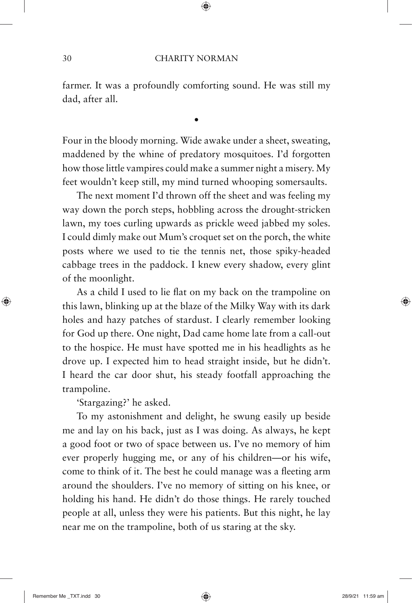⊕

farmer. It was a profoundly comforting sound. He was still my dad, after all.

•

Four in the bloody morning. Wide awake under a sheet, sweating, maddened by the whine of predatory mosquitoes. I'd forgotten how those little vampires could make a summer night a misery. My feet wouldn't keep still, my mind turned whooping somersaults.

The next moment I'd thrown off the sheet and was feeling my way down the porch steps, hobbling across the drought-stricken lawn, my toes curling upwards as prickle weed jabbed my soles. I could dimly make out Mum's croquet set on the porch, the white posts where we used to tie the tennis net, those spiky-headed cabbage trees in the paddock. I knew every shadow, every glint of the moonlight.

As a child I used to lie flat on my back on the trampoline on this lawn, blinking up at the blaze of the Milky Way with its dark holes and hazy patches of stardust. I clearly remember looking for God up there. One night, Dad came home late from a call-out to the hospice. He must have spotted me in his headlights as he drove up. I expected him to head straight inside, but he didn't. I heard the car door shut, his steady footfall approaching the trampoline.

'Stargazing?' he asked.

To my astonishment and delight, he swung easily up beside me and lay on his back, just as I was doing. As always, he kept a good foot or two of space between us. I've no memory of him ever properly hugging me, or any of his children—or his wife, come to think of it. The best he could manage was a fleeting arm around the shoulders. I've no memory of sitting on his knee, or holding his hand. He didn't do those things. He rarely touched people at all, unless they were his patients. But this night, he lay near me on the trampoline, both of us staring at the sky.

◈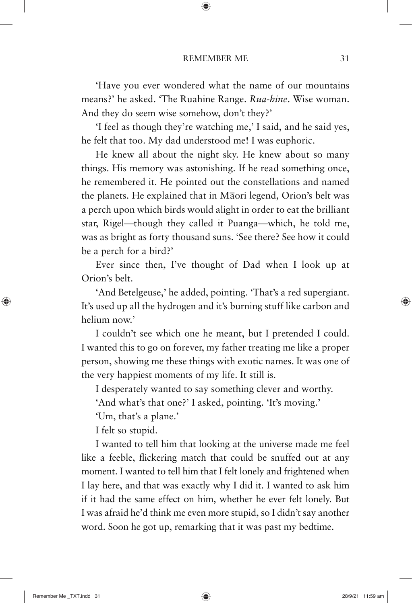⊕

'Have you ever wondered what the name of our mountains means?' he asked. 'The Ruahine Range. *Rua-hine*. Wise woman. And they do seem wise somehow, don't they?'

'I feel as though they're watching me,' I said, and he said yes, he felt that too. My dad understood me! I was euphoric.

He knew all about the night sky. He knew about so many things. His memory was astonishing. If he read something once, he remembered it. He pointed out the constellations and named the planets. He explained that in Maori legend, Orion's belt was a perch upon which birds would alight in order to eat the brilliant star, Rigel—though they called it Puanga—which, he told me, was as bright as forty thousand suns. 'See there? See how it could be a perch for a bird?'

Ever since then, I've thought of Dad when I look up at Orion's belt.

'And Betelgeuse,' he added, pointing. 'That's a red supergiant. It's used up all the hydrogen and it's burning stuff like carbon and helium now.'

I couldn't see which one he meant, but I pretended I could. I wanted this to go on forever, my father treating me like a proper person, showing me these things with exotic names. It was one of the very happiest moments of my life. It still is.

I desperately wanted to say something clever and worthy.

'And what's that one?' I asked, pointing. 'It's moving.'

'Um, that's a plane.'

I felt so stupid.

I wanted to tell him that looking at the universe made me feel like a feeble, flickering match that could be snuffed out at any moment. I wanted to tell him that I felt lonely and frightened when I lay here, and that was exactly why I did it. I wanted to ask him if it had the same effect on him, whether he ever felt lonely. But I was afraid he'd think me even more stupid, so I didn't say another word. Soon he got up, remarking that it was past my bedtime.

◈